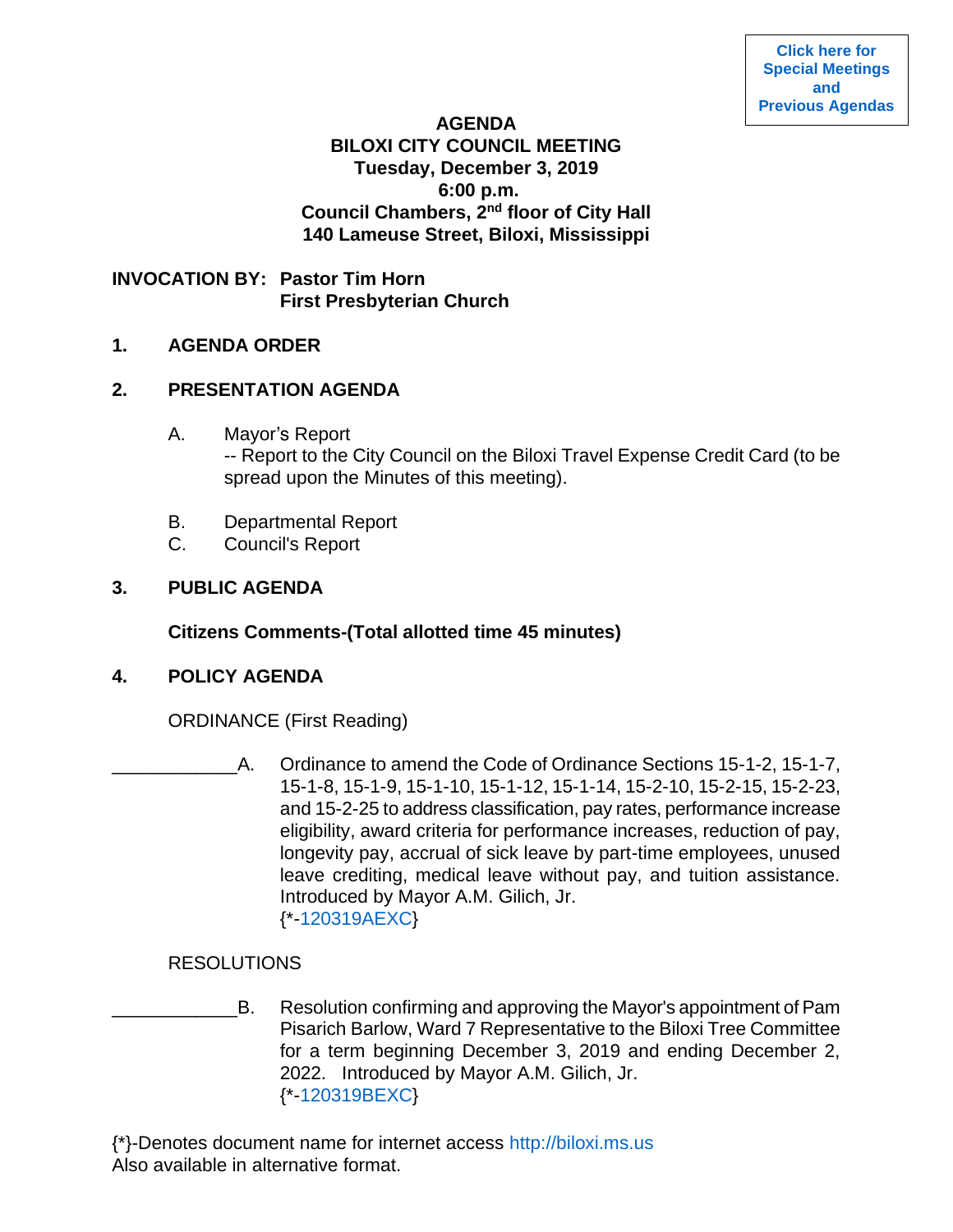### **AGENDA BILOXI CITY COUNCIL MEETING Tuesday, December 3, 2019 6:00 p.m. Council Chambers, 2nd floor of City Hall 140 Lameuse Street, Biloxi, Mississippi**

**INVOCATION BY: Pastor Tim Horn First Presbyterian Church** 

## **1. AGENDA ORDER**

# **2. PRESENTATION AGENDA**

- A. Mayor's Report -- Report to the City Council on the Biloxi Travel Expense Credit Card (to be spread upon the Minutes of this meeting).
- B. Departmental Report
- C. Council's Report

# **3. PUBLIC AGENDA**

**Citizens Comments-(Total allotted time 45 minutes)**

# **4. POLICY AGENDA**

ORDINANCE (First Reading)

A. Ordinance to amend the Code of Ordinance Sections 15-1-2, 15-1-7, 15-1-8, 15-1-9, 15-1-10, 15-1-12, 15-1-14, 15-2-10, 15-2-15, 15-2-23, and 15-2-25 to address classification, pay rates, performance increase eligibility, award criteria for performance increases, reduction of pay, longevity pay, accrual of sick leave by part-time employees, unused leave crediting, medical leave without pay, and tuition assistance. Introduced by Mayor A.M. Gilich, Jr. {\*[-120319AEXC}](https://www.biloxi.ms.us/agendas/citycouncil/2019/120319/120319aexc.pdf)

# RESOLUTIONS

\_\_\_\_\_\_\_\_\_\_\_\_B. Resolution confirming and approving the Mayor's appointment of Pam Pisarich Barlow, Ward 7 Representative to the Biloxi Tree Committee for a term beginning December 3, 2019 and ending December 2, 2022. Introduced by Mayor A.M. Gilich, Jr. {\*[-120319BEXC}](https://www.biloxi.ms.us/agendas/citycouncil/2019/120319/120319bexc.pdf)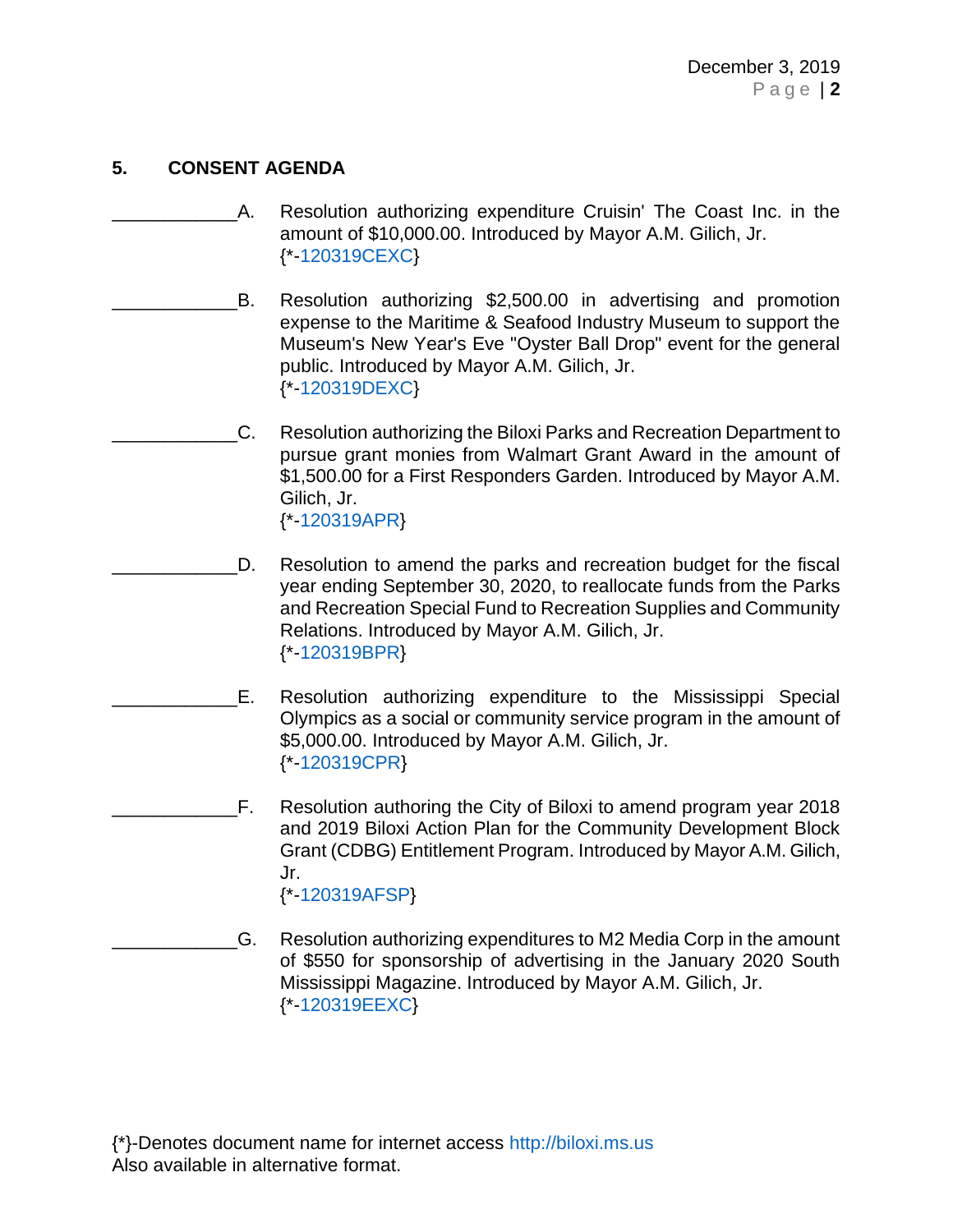# **5. CONSENT AGENDA**

- A. Resolution authorizing expenditure Cruisin' The Coast Inc. in the amount of \$10,000.00. Introduced by Mayor A.M. Gilich, Jr. {\*[-120319CEXC}](https://www.biloxi.ms.us/agendas/citycouncil/2019/120319/120319cexc.pdf)
	- B. Resolution authorizing \$2,500.00 in advertising and promotion expense to the Maritime & Seafood Industry Museum to support the Museum's New Year's Eve "Oyster Ball Drop" event for the general public. Introduced by Mayor A.M. Gilich, Jr. {\*[-120319DEXC}](https://www.biloxi.ms.us/agendas/citycouncil/2019/120319/120319dexc.pdf)
- \_\_\_\_\_\_\_\_\_\_\_\_C. Resolution authorizing the Biloxi Parks and Recreation Department to pursue grant monies from Walmart Grant Award in the amount of \$1,500.00 for a First Responders Garden. Introduced by Mayor A.M. Gilich, Jr. {\*[-120319APR}](https://www.biloxi.ms.us/agendas/citycouncil/2019/120319/120319apr.pdf)
- D. Resolution to amend the parks and recreation budget for the fiscal year ending September 30, 2020, to reallocate funds from the Parks and Recreation Special Fund to Recreation Supplies and Community Relations. Introduced by Mayor A.M. Gilich, Jr. {\*[-120319BPR}](https://www.biloxi.ms.us/agendas/citycouncil/2019/120319/120319bpr.pdf)
- E. Resolution authorizing expenditure to the Mississippi Special Olympics as a social or community service program in the amount of \$5,000.00. Introduced by Mayor A.M. Gilich, Jr. {\*[-120319CPR}](https://www.biloxi.ms.us/agendas/citycouncil/2019/120319/120319cpr.pdf)
- F. Resolution authoring the City of Biloxi to amend program year 2018 and 2019 Biloxi Action Plan for the Community Development Block Grant (CDBG) Entitlement Program. Introduced by Mayor A.M. Gilich, Jr. {\*[-120319AFSP}](https://www.biloxi.ms.us/agendas/citycouncil/2019/120319/120319afsp.pdf)
- \_\_\_\_\_\_\_\_\_\_\_\_G. Resolution authorizing expenditures to M2 Media Corp in the amount of \$550 for sponsorship of advertising in the January 2020 South Mississippi Magazine. Introduced by Mayor A.M. Gilich, Jr. {\*[-120319EEXC}](https://www.biloxi.ms.us/agendas/citycouncil/2019/120319/120319eexc1.pdf)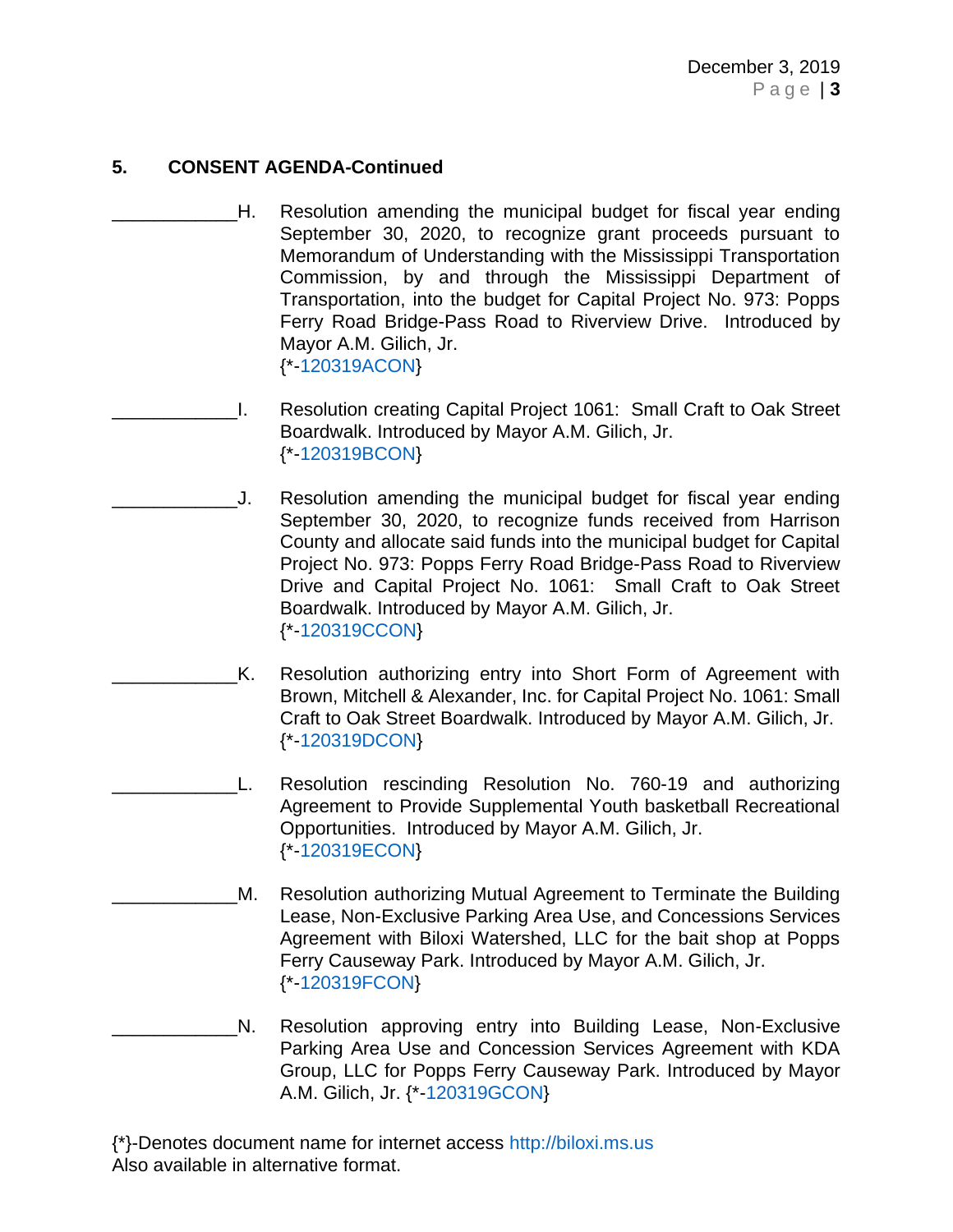- \_\_\_\_\_\_\_\_\_\_\_\_H. Resolution amending the municipal budget for fiscal year ending September 30, 2020, to recognize grant proceeds pursuant to Memorandum of Understanding with the Mississippi Transportation Commission, by and through the Mississippi Department of Transportation, into the budget for Capital Project No. 973: Popps Ferry Road Bridge-Pass Road to Riverview Drive. Introduced by Mayor A.M. Gilich, Jr. {\*[-120319ACON}](https://www.biloxi.ms.us/agendas/citycouncil/2019/120319/120319acon.pdf)
- \_\_\_\_\_\_\_\_\_\_\_\_I. Resolution creating Capital Project 1061: Small Craft to Oak Street Boardwalk. Introduced by Mayor A.M. Gilich, Jr. {\*[-120319BCON}](https://www.biloxi.ms.us/agendas/citycouncil/2019/120319/120319bcon.pdf)
- \_\_\_\_\_\_\_\_\_\_\_\_J. Resolution amending the municipal budget for fiscal year ending September 30, 2020, to recognize funds received from Harrison County and allocate said funds into the municipal budget for Capital Project No. 973: Popps Ferry Road Bridge-Pass Road to Riverview Drive and Capital Project No. 1061: Small Craft to Oak Street Boardwalk. Introduced by Mayor A.M. Gilich, Jr. {\*[-120319CCON}](https://www.biloxi.ms.us/agendas/citycouncil/2019/120319/120319ccon.pdf)
- \_\_\_\_\_\_\_\_\_\_\_\_K. Resolution authorizing entry into Short Form of Agreement with Brown, Mitchell & Alexander, Inc. for Capital Project No. 1061: Small Craft to Oak Street Boardwalk. Introduced by Mayor A.M. Gilich, Jr. {\*[-120319DCON}](https://www.biloxi.ms.us/agendas/citycouncil/2019/120319/120319dcon.pdf)
- L. Resolution rescinding Resolution No. 760-19 and authorizing Agreement to Provide Supplemental Youth basketball Recreational Opportunities. Introduced by Mayor A.M. Gilich, Jr. {\*[-120319ECON}](https://www.biloxi.ms.us/agendas/citycouncil/2019/120319/120319econ.pdf)
- M. Resolution authorizing Mutual Agreement to Terminate the Building Lease, Non-Exclusive Parking Area Use, and Concessions Services Agreement with Biloxi Watershed, LLC for the bait shop at Popps Ferry Causeway Park. Introduced by Mayor A.M. Gilich, Jr. {\*[-120319FCON}](https://www.biloxi.ms.us/agendas/citycouncil/2019/120319/120319fcon.pdf)
- N. Resolution approving entry into Building Lease, Non-Exclusive Parking Area Use and Concession Services Agreement with KDA Group, LLC for Popps Ferry Causeway Park. Introduced by Mayor A.M. Gilich, Jr. {\*[-120319GCON}](https://www.biloxi.ms.us/agendas/citycouncil/2019/120319/120319gcon.pdf)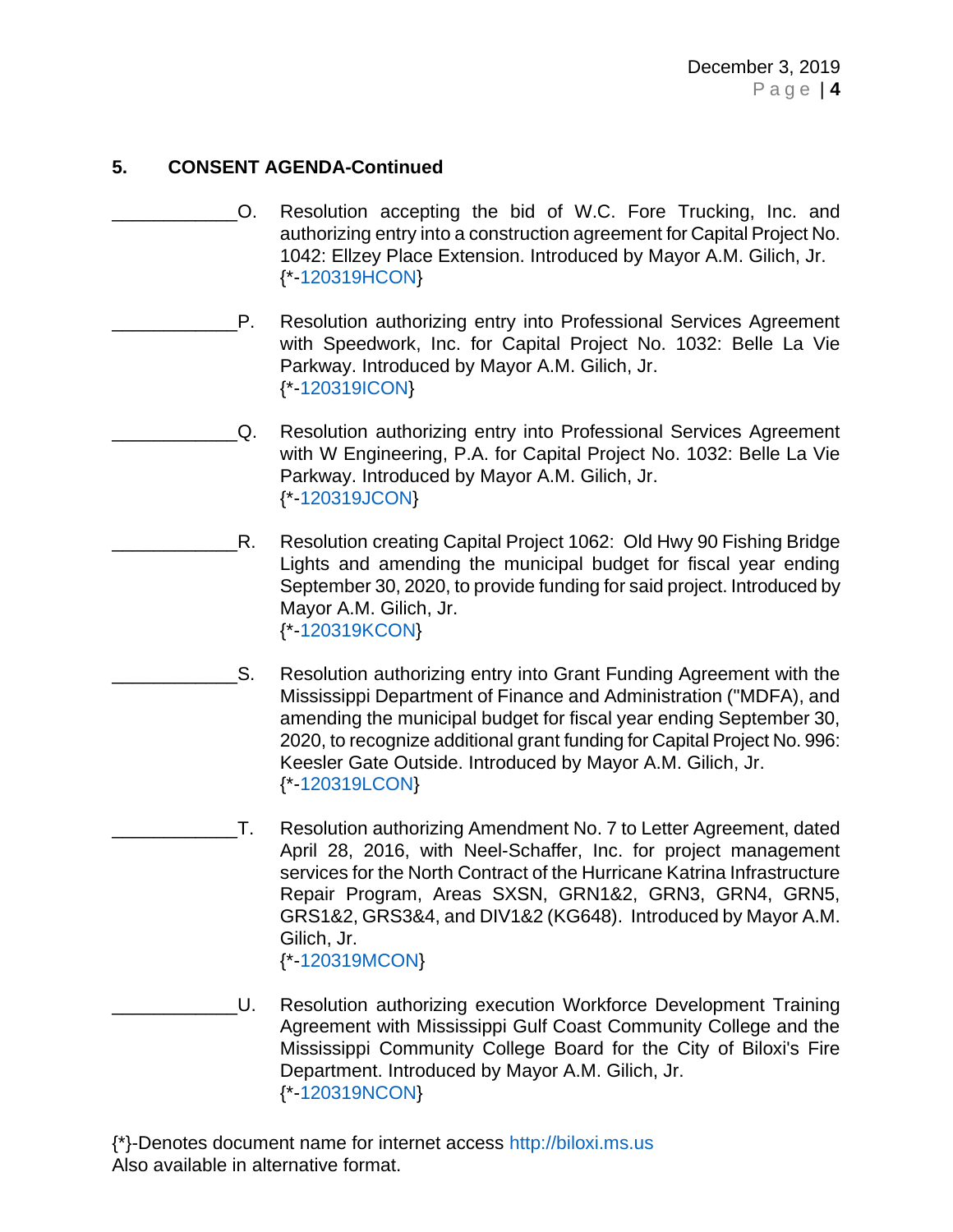- \_\_\_\_\_\_\_\_\_\_\_\_O. Resolution accepting the bid of W.C. Fore Trucking, Inc. and authorizing entry into a construction agreement for Capital Project No. 1042: Ellzey Place Extension. Introduced by Mayor A.M. Gilich, Jr. {\*[-120319HCON}](https://www.biloxi.ms.us/agendas/citycouncil/2019/120319/120319hcon.pdf)
- P. Resolution authorizing entry into Professional Services Agreement with Speedwork, Inc. for Capital Project No. 1032: Belle La Vie Parkway. Introduced by Mayor A.M. Gilich, Jr. {\*[-120319ICON}](https://www.biloxi.ms.us/agendas/citycouncil/2019/120319/120319icon.pdf)
- Q. Resolution authorizing entry into Professional Services Agreement with W Engineering, P.A. for Capital Project No. 1032: Belle La Vie Parkway. Introduced by Mayor A.M. Gilich, Jr. {\*[-120319JCON}](https://www.biloxi.ms.us/agendas/citycouncil/2019/120319/120319jcon.pdf)
- R. Resolution creating Capital Project 1062: Old Hwy 90 Fishing Bridge Lights and amending the municipal budget for fiscal year ending September 30, 2020, to provide funding for said project. Introduced by Mayor A.M. Gilich, Jr. {\*[-120319KCON}](https://www.biloxi.ms.us/agendas/citycouncil/2019/120319/120319kcon.pdf)
- S. Resolution authorizing entry into Grant Funding Agreement with the Mississippi Department of Finance and Administration ("MDFA), and amending the municipal budget for fiscal year ending September 30, 2020, to recognize additional grant funding for Capital Project No. 996: Keesler Gate Outside. Introduced by Mayor A.M. Gilich, Jr. {\*[-120319LCON}](https://www.biloxi.ms.us/agendas/citycouncil/2019/120319/120319lcon.pdf)
	- \_\_\_\_\_\_\_\_\_\_\_\_T. Resolution authorizing Amendment No. 7 to Letter Agreement, dated April 28, 2016, with Neel-Schaffer, Inc. for project management services for the North Contract of the Hurricane Katrina Infrastructure Repair Program, Areas SXSN, GRN1&2, GRN3, GRN4, GRN5, GRS1&2, GRS3&4, and DIV1&2 (KG648). Introduced by Mayor A.M. Gilich, Jr. {\*[-120319MCON}](https://www.biloxi.ms.us/agendas/citycouncil/2019/120319/120319mcon.pdf)
- \_\_\_\_\_\_\_\_\_\_\_\_U. Resolution authorizing execution Workforce Development Training Agreement with Mississippi Gulf Coast Community College and the Mississippi Community College Board for the City of Biloxi's Fire Department. Introduced by Mayor A.M. Gilich, Jr. {\*[-120319NCON}](https://www.biloxi.ms.us/agendas/citycouncil/2019/120319/120319ncon.pdf)
- {\*}-Denotes document name for internet access [http://biloxi.ms.us](http://biloxi.ms.us/) Also available in alternative format.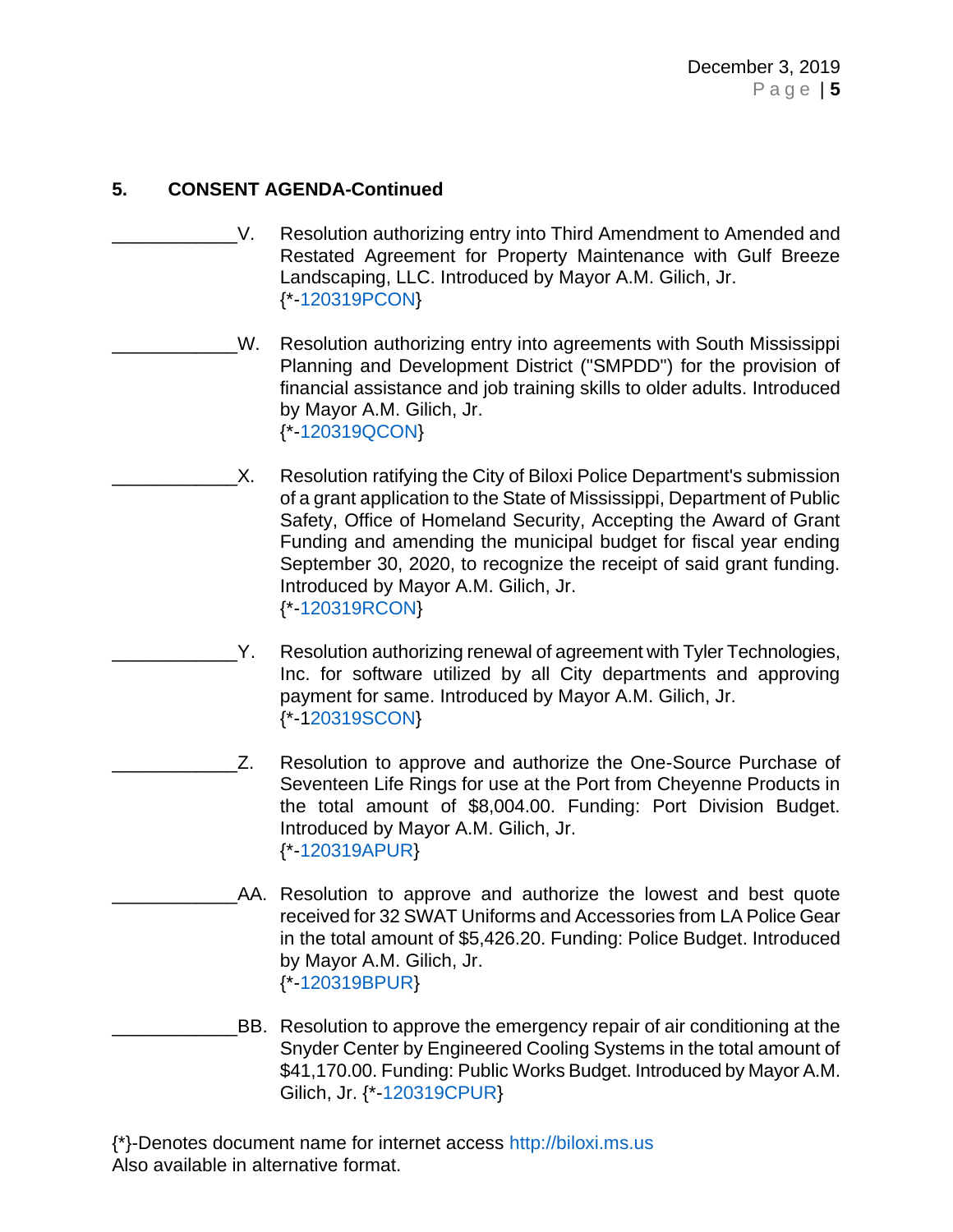- V. Resolution authorizing entry into Third Amendment to Amended and Restated Agreement for Property Maintenance with Gulf Breeze Landscaping, LLC. Introduced by Mayor A.M. Gilich, Jr. {\*[-120319PCON}](https://www.biloxi.ms.us/agendas/citycouncil/2019/120319/120319pcon.pdf)
- W. Resolution authorizing entry into agreements with South Mississippi Planning and Development District ("SMPDD") for the provision of financial assistance and job training skills to older adults. Introduced by Mayor A.M. Gilich, Jr. {\*[-120319QCON}](https://www.biloxi.ms.us/agendas/citycouncil/2019/120319/120319qcon.pdf)
	- X. Resolution ratifying the City of Biloxi Police Department's submission of a grant application to the State of Mississippi, Department of Public Safety, Office of Homeland Security, Accepting the Award of Grant Funding and amending the municipal budget for fiscal year ending September 30, 2020, to recognize the receipt of said grant funding. Introduced by Mayor A.M. Gilich, Jr. {\*[-120319RCON}](https://www.biloxi.ms.us/agendas/citycouncil/2019/120319/120319rcon.pdf)
- Y. Resolution authorizing renewal of agreement with Tyler Technologies, Inc. for software utilized by all City departments and approving payment for same. Introduced by Mayor A.M. Gilich, Jr. {\*-[120319SCON}](https://www.biloxi.ms.us/agendas/citycouncil/2019/120319/120319scon.pdf)
	- Z. Resolution to approve and authorize the One-Source Purchase of Seventeen Life Rings for use at the Port from Cheyenne Products in the total amount of \$8,004.00. Funding: Port Division Budget. Introduced by Mayor A.M. Gilich, Jr. {\*[-120319APUR}](https://www.biloxi.ms.us/agendas/citycouncil/2019/120319/120319apur.pdf)
		- AA. Resolution to approve and authorize the lowest and best quote received for 32 SWAT Uniforms and Accessories from LA Police Gear in the total amount of \$5,426.20. Funding: Police Budget. Introduced by Mayor A.M. Gilich, Jr. {\*[-120319BPUR}](https://www.biloxi.ms.us/agendas/citycouncil/2019/120319/120319bpur.pdf)
- \_\_\_\_\_\_\_\_\_\_\_\_BB. Resolution to approve the emergency repair of air conditioning at the Snyder Center by Engineered Cooling Systems in the total amount of \$41,170.00. Funding: Public Works Budget. Introduced by Mayor A.M. Gilich, Jr. {\*[-120319CPUR}](https://www.biloxi.ms.us/agendas/citycouncil/2019/120319/120319cpur.pdf)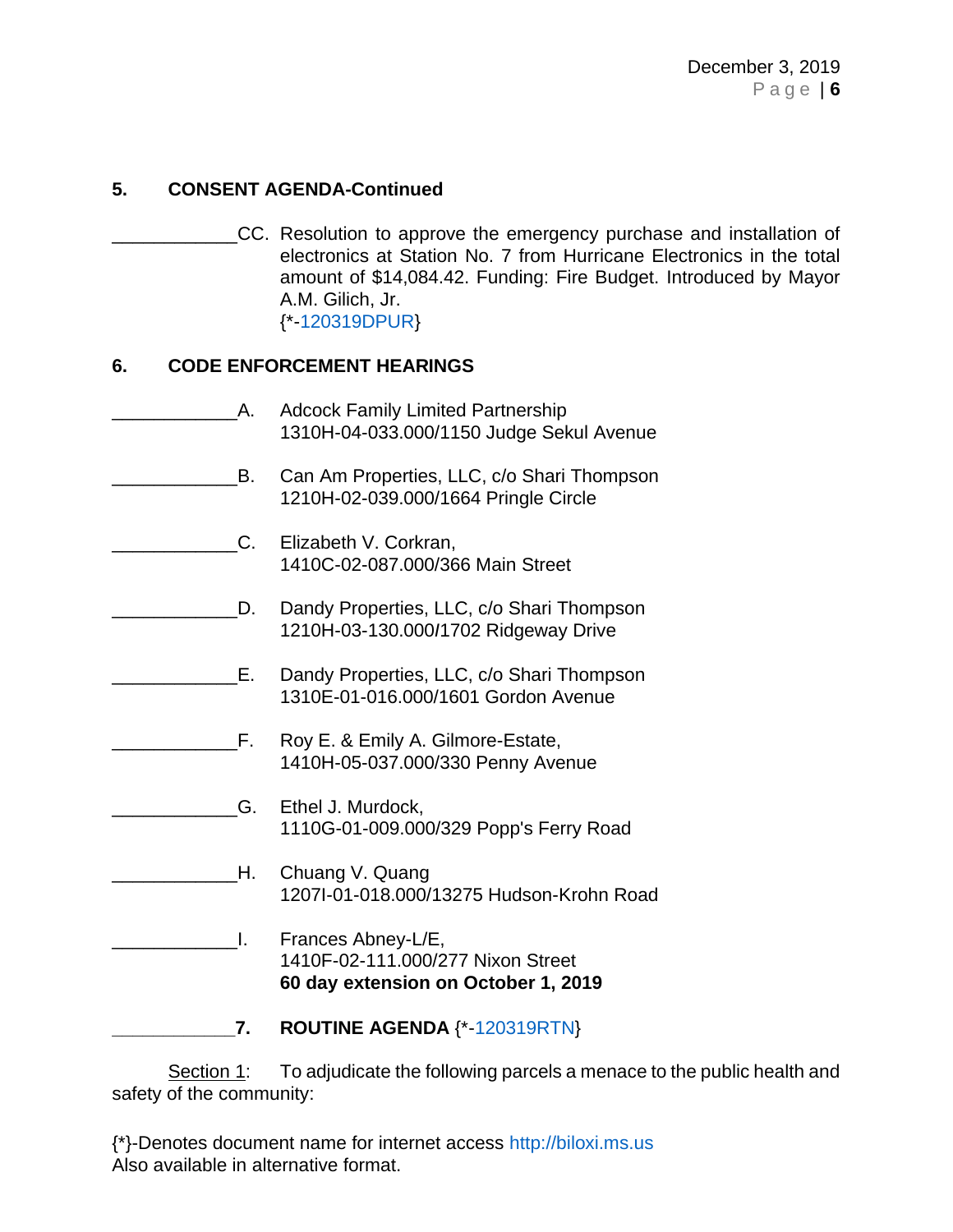\_\_\_\_\_\_\_\_\_\_\_\_CC. Resolution to approve the emergency purchase and installation of electronics at Station No. 7 from Hurricane Electronics in the total amount of \$14,084.42. Funding: Fire Budget. Introduced by Mayor A.M. Gilich, Jr. {\*[-120319DPUR}](https://www.biloxi.ms.us/agendas/citycouncil/2019/120319/120319dpur.pdf)

### **6. CODE ENFORCEMENT HEARINGS**

A. Adcock Family Limited Partnership 1310H-04-033.000/1150 Judge Sekul Avenue **EXALC AM EXALC**, CO Shari Thompson 1210H-02-039.000/1664 Pringle Circle \_\_\_\_\_\_\_\_\_\_\_\_C. Elizabeth V. Corkran, 1410C-02-087.000/366 Main Street D. Dandy Properties, LLC, c/o Shari Thompson 1210H-03-130.000*I*1702 Ridgeway Drive \_\_\_\_\_\_\_\_\_\_\_\_E. Dandy Properties, LLC, c/o Shari Thompson 1310E-01-016.000/1601 Gordon Avenue \_\_\_\_\_\_\_\_\_\_\_\_F. Roy E. & Emily A. Gilmore-Estate, 1410H-05-037.000/330 Penny Avenue G. Ethel J. Murdock, 1110G-01-009.000/329 Popp's Ferry Road **H.** Chuang V. Quang 1207I-01-018.000/13275 Hudson-Krohn Road **L.** Frances Abney-L/E, 1410F-02-111.000/277 Nixon Street **60 day extension on October 1, 2019 \_\_\_\_\_\_\_\_\_\_\_\_7. ROUTINE AGENDA** {\*[-120319RTN}](https://www.biloxi.ms.us/agendas/citycouncil/2019/120319/120319rtn.pdf)

Section 1: To adjudicate the following parcels a menace to the public health and safety of the community: